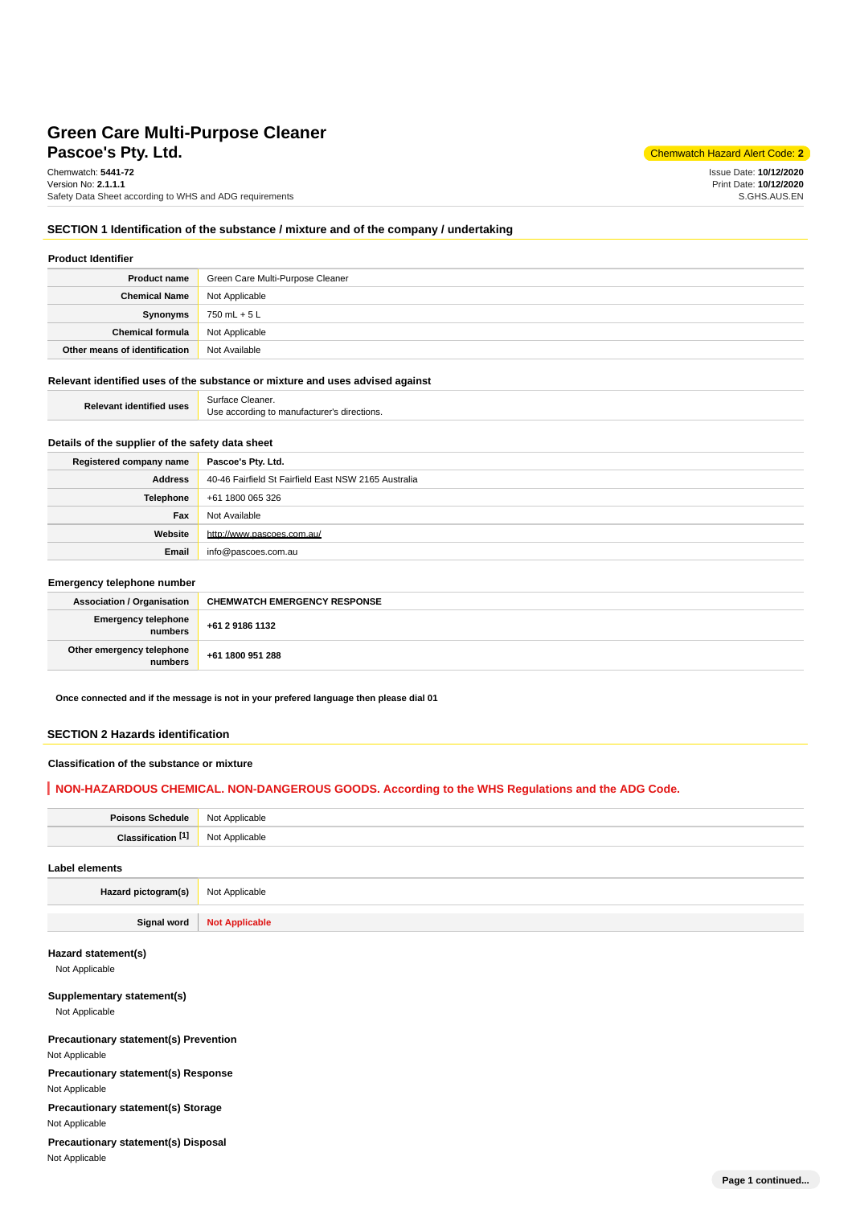# **Pascoe's Ptv. Ltd.** Chemwatch Hazard Alert Code: 2 **Green Care Multi-Purpose Cleaner**

Chemwatch: **5441-72** Version No: **2.1.1.1** Safety Data Sheet according to WHS and ADG requirements

Issue Date: **10/12/2020** Print Date: **10/12/2020** S.GHS.AUS.EN

#### **SECTION 1 Identification of the substance / mixture and of the company / undertaking**

| <b>Product Identifier</b>     |                                  |  |  |
|-------------------------------|----------------------------------|--|--|
| <b>Product name</b>           | Green Care Multi-Purpose Cleaner |  |  |
| <b>Chemical Name</b>          | Not Applicable                   |  |  |
| Synonyms                      | 750 mL + 5 L                     |  |  |
| <b>Chemical formula</b>       | Not Applicable                   |  |  |
| Other means of identification | Not Available                    |  |  |

#### **Relevant identified uses of the substance or mixture and uses advised against**

| <b>Relevant identified uses</b> | Surface Cleaner.                            |
|---------------------------------|---------------------------------------------|
|                                 | Use according to manufacturer's directions. |

# **Details of the supplier of the safety data sheet**

| Registered company name | Pascoe's Pty. Ltd.                                   |
|-------------------------|------------------------------------------------------|
| <b>Address</b>          | 40-46 Fairfield St Fairfield East NSW 2165 Australia |
| <b>Telephone</b>        | +61 1800 065 326                                     |
| Fax                     | Not Available                                        |
| Website                 | http://www.pascoes.com.au/                           |
| Email                   | info@pascoes.com.au                                  |

#### **Emergency telephone number**

| <b>Association / Organisation</b>    | <b>CHEMWATCH EMERGENCY RESPONSE</b> |
|--------------------------------------|-------------------------------------|
| Emergency telephone<br>numbers       | +61 2 9186 1132                     |
| Other emergency telephone<br>numbers | +61 1800 951 288                    |

**Once connected and if the message is not in your prefered language then please dial 01**

## **SECTION 2 Hazards identification**

## **Classification of the substance or mixture**

## **NON-HAZARDOUS CHEMICAL. NON-DANGEROUS GOODS. According to the WHS Regulations and the ADG Code.**

| Poisons Schedule   Not Applicable |                |
|-----------------------------------|----------------|
| Classification <sup>[1]</sup>     | Not Applicable |
| Label elements                    |                |

**Hazard pictogram(s)** Not Applicable

**Signal word Not Applicable**

## **Hazard statement(s)**

Not Applicable

#### **Supplementary statement(s)**

Not Applicable

# **Precautionary statement(s) Prevention**

Not Applicable

# **Precautionary statement(s) Response**

Not Applicable

**Precautionary statement(s) Storage**

Not Applicable

## **Precautionary statement(s) Disposal** Not Applicable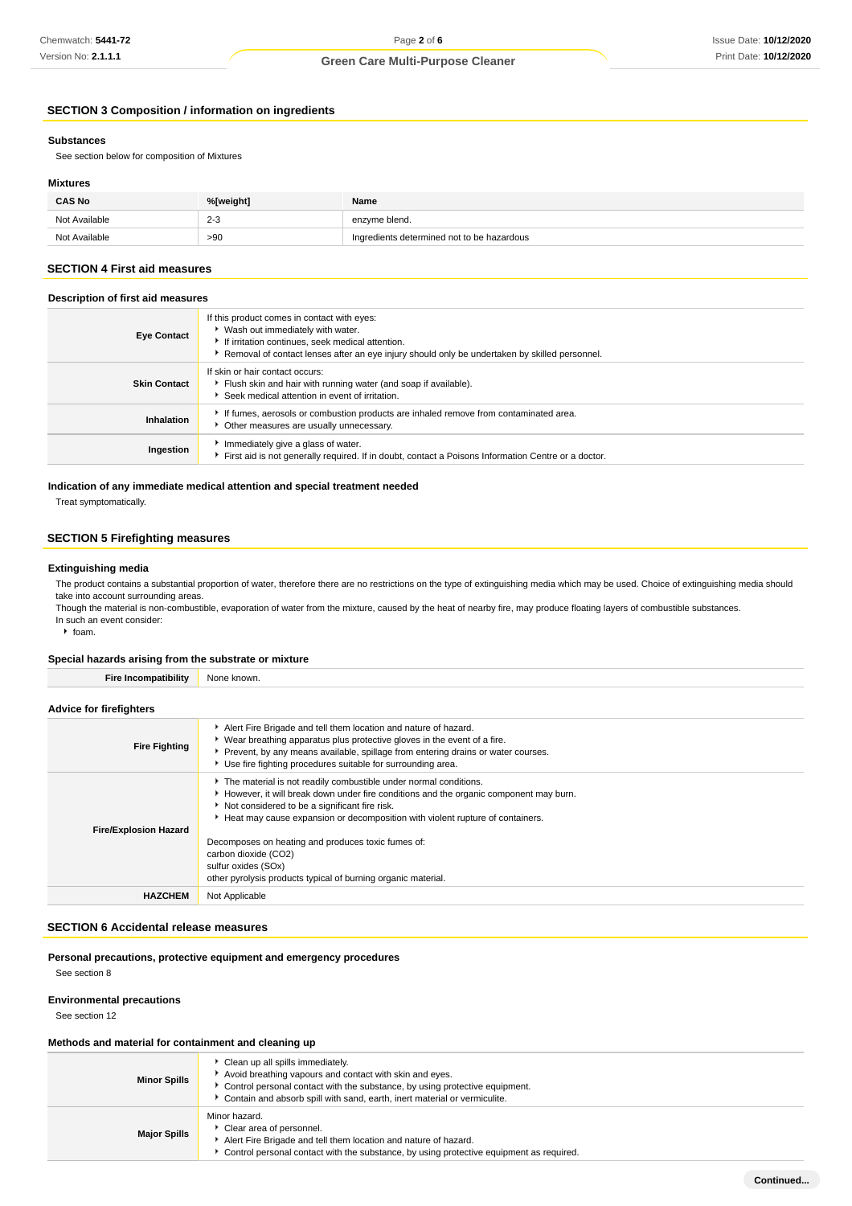# **SECTION 3 Composition / information on ingredients**

#### **Substances**

See section below for composition of Mixtures

#### **Mixtures**

| <b>CAS No</b> | %[weight]         | Name                                       |
|---------------|-------------------|--------------------------------------------|
| Not Available | $2 - 3$<br>$\sim$ | enzyme blend.                              |
| Not Available | >90               | Ingredients determined not to be hazardous |

## **SECTION 4 First aid measures**

# **Description of first aid measures**

| <b>Eye Contact</b>  | If this product comes in contact with eyes:<br>▶ Wash out immediately with water.<br>If irritation continues, seek medical attention.<br>▶ Removal of contact lenses after an eye injury should only be undertaken by skilled personnel. |
|---------------------|------------------------------------------------------------------------------------------------------------------------------------------------------------------------------------------------------------------------------------------|
| <b>Skin Contact</b> | If skin or hair contact occurs:<br>Flush skin and hair with running water (and soap if available).<br>Seek medical attention in event of irritation.                                                                                     |
| Inhalation          | If fumes, aerosols or combustion products are inhaled remove from contaminated area.<br>Other measures are usually unnecessary.                                                                                                          |
| Ingestion           | Immediately give a glass of water.<br>First aid is not generally required. If in doubt, contact a Poisons Information Centre or a doctor.                                                                                                |

## **Indication of any immediate medical attention and special treatment needed**

Treat symptomatically.

## **SECTION 5 Firefighting measures**

#### **Extinguishing media**

The product contains a substantial proportion of water, therefore there are no restrictions on the type of extinguishing media which may be used. Choice of extinguishing media should take into account surrounding areas.

Though the material is non-combustible, evaporation of water from the mixture, caused by the heat of nearby fire, may produce floating layers of combustible substances. In such an event consider:

 $\cdot$  foam.

#### **Special hazards arising from the substrate or mixture**

| <b>Fire Incompatibility</b>    | None known.                                                                                                                                                                                                                                                                                                                                                                                                                                                         |
|--------------------------------|---------------------------------------------------------------------------------------------------------------------------------------------------------------------------------------------------------------------------------------------------------------------------------------------------------------------------------------------------------------------------------------------------------------------------------------------------------------------|
|                                |                                                                                                                                                                                                                                                                                                                                                                                                                                                                     |
| <b>Advice for firefighters</b> |                                                                                                                                                                                                                                                                                                                                                                                                                                                                     |
| <b>Fire Fighting</b>           | Alert Fire Brigade and tell them location and nature of hazard.<br>▶ Wear breathing apparatus plus protective gloves in the event of a fire.<br>▶ Prevent, by any means available, spillage from entering drains or water courses.<br>▶ Use fire fighting procedures suitable for surrounding area.                                                                                                                                                                 |
| <b>Fire/Explosion Hazard</b>   | The material is not readily combustible under normal conditions.<br>► However, it will break down under fire conditions and the organic component may burn.<br>Not considered to be a significant fire risk.<br>Heat may cause expansion or decomposition with violent rupture of containers.<br>Decomposes on heating and produces toxic fumes of:<br>carbon dioxide (CO2)<br>sulfur oxides (SOx)<br>other pyrolysis products typical of burning organic material. |
| <b>HAZCHEM</b>                 | Not Applicable                                                                                                                                                                                                                                                                                                                                                                                                                                                      |

#### **SECTION 6 Accidental release measures**

# **Personal precautions, protective equipment and emergency procedures**

See section 8

#### **Environmental precautions**

See section 12

#### **Methods and material for containment and cleaning up**

| <b>Minor Spills</b> | Clean up all spills immediately.<br>Avoid breathing vapours and contact with skin and eyes.<br>Control personal contact with the substance, by using protective equipment.<br>Contain and absorb spill with sand, earth, inert material or vermiculite. |
|---------------------|---------------------------------------------------------------------------------------------------------------------------------------------------------------------------------------------------------------------------------------------------------|
| <b>Major Spills</b> | Minor hazard.<br>Clear area of personnel.<br>Alert Fire Brigade and tell them location and nature of hazard.<br>Control personal contact with the substance, by using protective equipment as required.                                                 |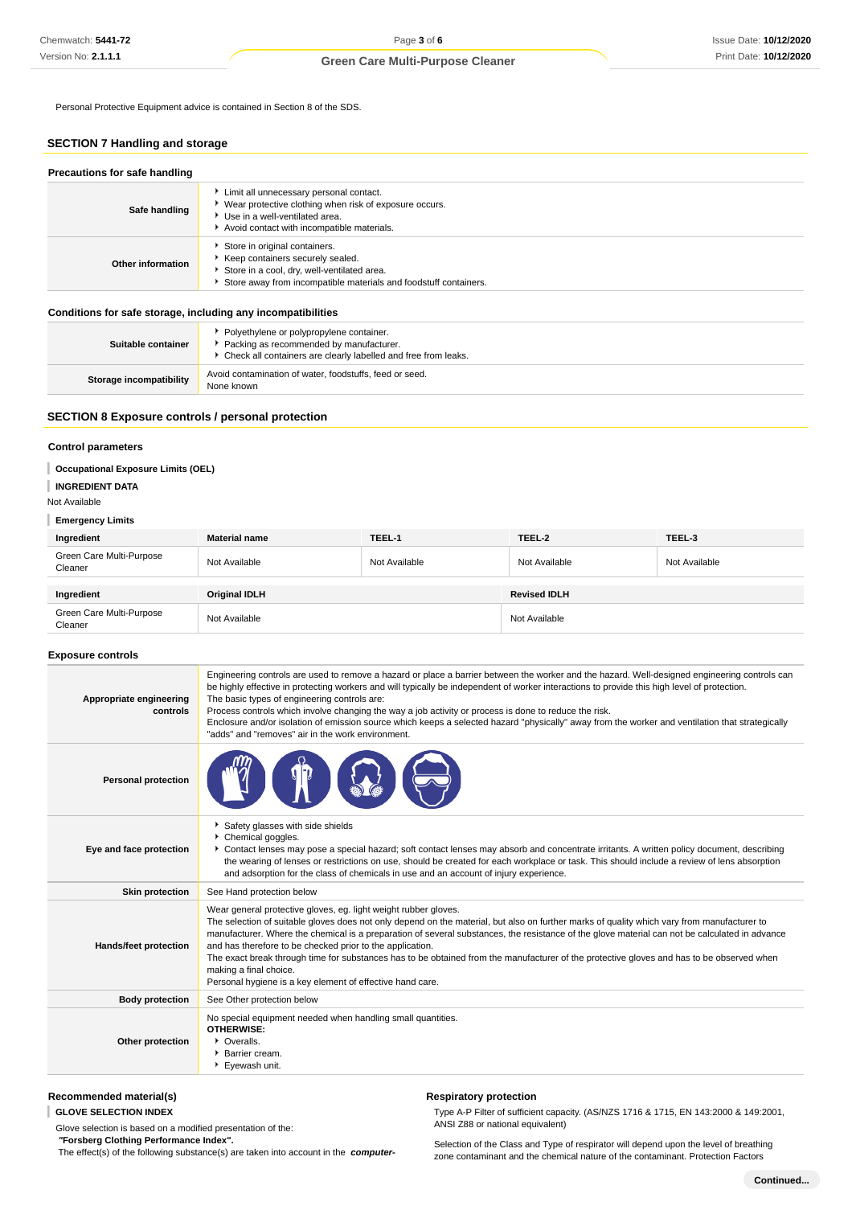Personal Protective Equipment advice is contained in Section 8 of the SDS.

# **SECTION 7 Handling and storage**

| Precautions for safe handling |                                                                                                                                                                                       |
|-------------------------------|---------------------------------------------------------------------------------------------------------------------------------------------------------------------------------------|
| Safe handling                 | Limit all unnecessary personal contact.<br>▶ Wear protective clothing when risk of exposure occurs.<br>▶ Use in a well-ventilated area.<br>Avoid contact with incompatible materials. |
| Other information             | Store in original containers.<br>Keep containers securely sealed.<br>Store in a cool, dry, well-ventilated area.<br>Store away from incompatible materials and foodstuff containers.  |

#### **Conditions for safe storage, including any incompatibilities**

| Suitable container             | * Polyethylene or polypropylene container.<br>Packing as recommended by manufacturer.<br>• Check all containers are clearly labelled and free from leaks. |
|--------------------------------|-----------------------------------------------------------------------------------------------------------------------------------------------------------|
| <b>Storage incompatibility</b> | Avoid contamination of water, foodstuffs, feed or seed.<br>None known                                                                                     |

#### **SECTION 8 Exposure controls / personal protection**

#### **Control parameters**

#### **Occupational Exposure Limits (OEL)**

#### **INGREDIENT DATA**

#### Not Available

#### **Emergency Limits**

| Ingredient                          | <b>Material name</b> | TEEL-1        | TEEL-2              | TEEL-3        |
|-------------------------------------|----------------------|---------------|---------------------|---------------|
| Green Care Multi-Purpose<br>Cleaner | Not Available        | Not Available | Not Available       | Not Available |
|                                     |                      |               |                     |               |
| Ingredient                          | Original IDLH        |               | <b>Revised IDLH</b> |               |
| Green Care Multi-Purpose<br>Cleaner | Not Available        |               | Not Available       |               |

## **Exposure controls**

| Appropriate engineering<br>controls | Engineering controls are used to remove a hazard or place a barrier between the worker and the hazard. Well-designed engineering controls can<br>be highly effective in protecting workers and will typically be independent of worker interactions to provide this high level of protection.<br>The basic types of engineering controls are:<br>Process controls which involve changing the way a job activity or process is done to reduce the risk.<br>Enclosure and/or isolation of emission source which keeps a selected hazard "physically" away from the worker and ventilation that strategically<br>"adds" and "removes" air in the work environment.   |
|-------------------------------------|-------------------------------------------------------------------------------------------------------------------------------------------------------------------------------------------------------------------------------------------------------------------------------------------------------------------------------------------------------------------------------------------------------------------------------------------------------------------------------------------------------------------------------------------------------------------------------------------------------------------------------------------------------------------|
| <b>Personal protection</b>          |                                                                                                                                                                                                                                                                                                                                                                                                                                                                                                                                                                                                                                                                   |
| Eye and face protection             | Safety glasses with side shields<br>Chemical goggles.<br>Contact lenses may pose a special hazard; soft contact lenses may absorb and concentrate irritants. A written policy document, describing<br>the wearing of lenses or restrictions on use, should be created for each workplace or task. This should include a review of lens absorption<br>and adsorption for the class of chemicals in use and an account of injury experience.                                                                                                                                                                                                                        |
| <b>Skin protection</b>              | See Hand protection below                                                                                                                                                                                                                                                                                                                                                                                                                                                                                                                                                                                                                                         |
| Hands/feet protection               | Wear general protective gloves, eg. light weight rubber gloves.<br>The selection of suitable gloves does not only depend on the material, but also on further marks of quality which vary from manufacturer to<br>manufacturer. Where the chemical is a preparation of several substances, the resistance of the glove material can not be calculated in advance<br>and has therefore to be checked prior to the application.<br>The exact break through time for substances has to be obtained from the manufacturer of the protective gloves and has to be observed when<br>making a final choice.<br>Personal hygiene is a key element of effective hand care. |
| <b>Body protection</b>              | See Other protection below                                                                                                                                                                                                                                                                                                                                                                                                                                                                                                                                                                                                                                        |
| Other protection                    | No special equipment needed when handling small quantities.<br><b>OTHERWISE:</b><br>• Overalls.<br>Barrier cream.<br>Eyewash unit.                                                                                                                                                                                                                                                                                                                                                                                                                                                                                                                                |

#### **Recommended material(s)**

**GLOVE SELECTION INDEX**

Glove selection is based on a modified presentation of the:  **"Forsberg Clothing Performance Index".** The effect(s) of the following substance(s) are taken into account in the **computer-**

#### **Respiratory protection**

Type A-P Filter of sufficient capacity. (AS/NZS 1716 & 1715, EN 143:2000 & 149:2001, ANSI Z88 or national equivalent)

Selection of the Class and Type of respirator will depend upon the level of breathing zone contaminant and the chemical nature of the contaminant. Protection Factors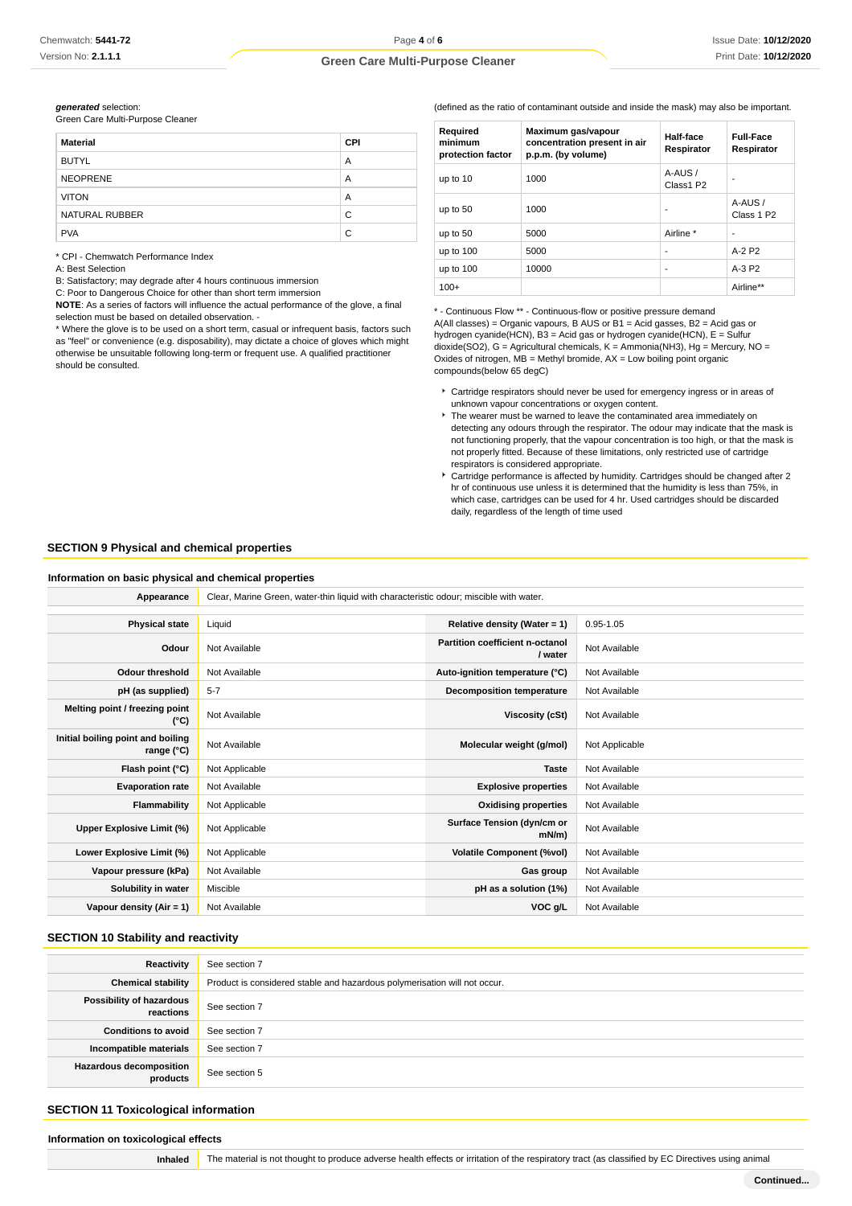**generated** selection:

|  | Green Care Multi-Purpose Cleaner |  |
|--|----------------------------------|--|
|--|----------------------------------|--|

| <b>Material</b>     | <b>CPI</b> |
|---------------------|------------|
| <b>BUTYL</b>        | A          |
| <b>NEOPRENE</b>     | A          |
| <b>VITON</b>        | A          |
| NATURAL RUBBER<br>C |            |
| <b>PVA</b>          | C          |

\* CPI - Chemwatch Performance Index

A: Best Selection

B: Satisfactory; may degrade after 4 hours continuous immersion

C: Poor to Dangerous Choice for other than short term immersion

**NOTE**: As a series of factors will influence the actual performance of the glove, a final selection must be based on detailed observation. -

\* Where the glove is to be used on a short term, casual or infrequent basis, factors such as "feel" or convenience (e.g. disposability), may dictate a choice of gloves which might otherwise be unsuitable following long-term or frequent use. A qualified practitioner should be consulted.

(defined as the ratio of contaminant outside and inside the mask) may also be important.

| Required<br>minimum<br>protection factor | Maximum gas/vapour<br>concentration present in air<br>p.p.m. (by volume) | Half-face<br>Respirator | <b>Full-Face</b><br>Respirator   |
|------------------------------------------|--------------------------------------------------------------------------|-------------------------|----------------------------------|
| up to 10                                 | 1000                                                                     | A-AUS /<br>Class1 P2    |                                  |
| up to 50                                 | 1000                                                                     |                         | A-AUS/<br>Class 1 P <sub>2</sub> |
| up to 50                                 | 5000                                                                     | Airline *               |                                  |
| up to 100                                | 5000                                                                     | ۰                       | $A-2P2$                          |
| up to 100                                | 10000                                                                    | ٠                       | $A-3P2$                          |
| $100+$                                   |                                                                          |                         | Airline**                        |

\* - Continuous Flow \*\* - Continuous-flow or positive pressure demand  $A(AII$  classes) = Organic vapours, B AUS or B1 = Acid gasses, B2 = Acid gas or hydrogen cyanide(HCN), B3 = Acid gas or hydrogen cyanide(HCN), E = Sulfur dioxide(SO2), G = Agricultural chemicals, K = Ammonia(NH3), Hg = Mercury, NO = Oxides of nitrogen,  $MB =$  Methyl bromide,  $AX =$  Low boiling point organic compounds(below 65 degC)

- Cartridge respirators should never be used for emergency ingress or in areas of unknown vapour concentrations or oxygen content.
- The wearer must be warned to leave the contaminated area immediately on detecting any odours through the respirator. The odour may indicate that the mask is not functioning properly, that the vapour concentration is too high, or that the mask is not properly fitted. Because of these limitations, only restricted use of cartridge respirators is considered appropriate.
- Cartridge performance is affected by humidity. Cartridges should be changed after 2 hr of continuous use unless it is determined that the humidity is less than 75%, in which case, cartridges can be used for 4 hr. Used cartridges should be discarded daily, regardless of the length of time used

#### **SECTION 9 Physical and chemical properties**

#### **Information on basic physical and chemical properties**

Appearance **Clear, Marine Green, water-thin liquid with characteristic odour; miscible with water.** 

| <b>Physical state</b>                           | Liquid         | Relative density (Water = $1$ )            | $0.95 - 1.05$  |
|-------------------------------------------------|----------------|--------------------------------------------|----------------|
| Odour                                           | Not Available  | Partition coefficient n-octanol<br>/ water | Not Available  |
| <b>Odour threshold</b>                          | Not Available  | Auto-ignition temperature (°C)             | Not Available  |
| pH (as supplied)                                | $5 - 7$        | <b>Decomposition temperature</b>           | Not Available  |
| Melting point / freezing point<br>(°C)          | Not Available  | Viscosity (cSt)                            | Not Available  |
| Initial boiling point and boiling<br>range (°C) | Not Available  | Molecular weight (g/mol)                   | Not Applicable |
| Flash point (°C)                                | Not Applicable | <b>Taste</b>                               | Not Available  |
| <b>Evaporation rate</b>                         | Not Available  | <b>Explosive properties</b>                | Not Available  |
| Flammability                                    | Not Applicable | <b>Oxidising properties</b>                | Not Available  |
| Upper Explosive Limit (%)                       | Not Applicable | Surface Tension (dyn/cm or<br>$mN/m$ )     | Not Available  |
| Lower Explosive Limit (%)                       | Not Applicable | <b>Volatile Component (%vol)</b>           | Not Available  |
| Vapour pressure (kPa)                           | Not Available  | Gas group                                  | Not Available  |
| Solubility in water                             | Miscible       | pH as a solution (1%)                      | Not Available  |
| Vapour density (Air = 1)                        | Not Available  | VOC g/L                                    | Not Available  |

#### **SECTION 10 Stability and reactivity**

| Reactivity                            | See section 7                                                             |
|---------------------------------------|---------------------------------------------------------------------------|
| <b>Chemical stability</b>             | Product is considered stable and hazardous polymerisation will not occur. |
| Possibility of hazardous<br>reactions | See section 7                                                             |
| <b>Conditions to avoid</b>            | See section 7                                                             |
| Incompatible materials                | See section 7                                                             |
| Hazardous decomposition<br>products   | See section 5                                                             |

#### **SECTION 11 Toxicological information**

# **Information on toxicological effects**

Inhaled **The material is not thought to produce adverse health effects or irritation of the respiratory tract (as classified by EC Directives using animal**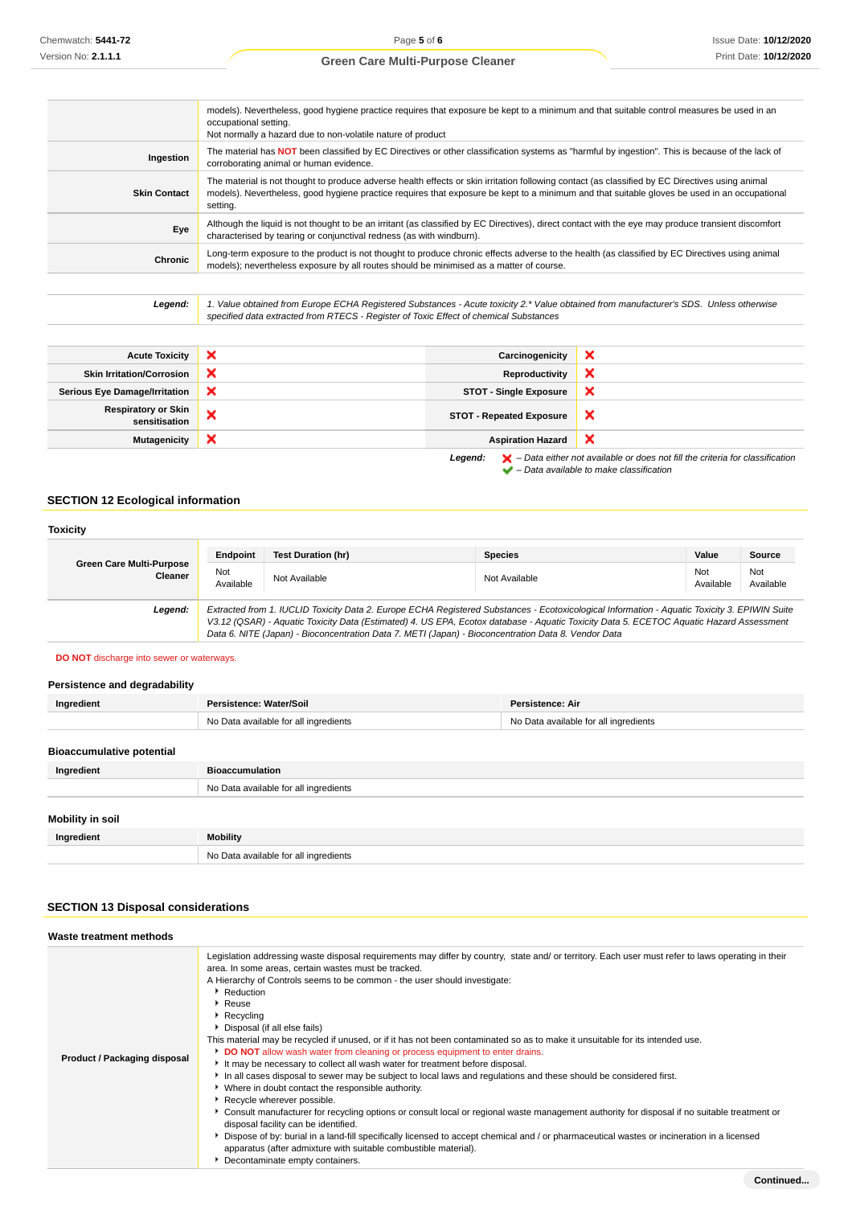| models). Nevertheless, good hygiene practice requires that exposure be kept to a minimum and that suitable control measures be used in an<br>occupational setting.<br>Not normally a hazard due to non-volatile nature of product                                                                           |
|-------------------------------------------------------------------------------------------------------------------------------------------------------------------------------------------------------------------------------------------------------------------------------------------------------------|
| The material has NOT been classified by EC Directives or other classification systems as "harmful by ingestion". This is because of the lack of<br>corroborating animal or human evidence.                                                                                                                  |
| The material is not thought to produce adverse health effects or skin irritation following contact (as classified by EC Directives using animal<br>models). Nevertheless, good hygiene practice requires that exposure be kept to a minimum and that suitable gloves be used in an occupational<br>setting. |
| Although the liquid is not thought to be an irritant (as classified by EC Directives), direct contact with the eye may produce transient discomfort<br>characterised by tearing or conjunctival redness (as with windburn).                                                                                 |
| Long-term exposure to the product is not thought to produce chronic effects adverse to the health (as classified by EC Directives using animal<br>models); nevertheless exposure by all routes should be minimised as a matter of course.                                                                   |
|                                                                                                                                                                                                                                                                                                             |

**Legend:** 1. Value obtained from Europe ECHA Registered Substances - Acute toxicity 2.\* Value obtained from manufacturer's SDS. Unless otherwise specified data extracted from RTECS - Register of Toxic Effect of chemical Substances

| <b>Acute Toxicity</b>                       |   | Carcinogenicity                 | ×                                                                                                  |
|---------------------------------------------|---|---------------------------------|----------------------------------------------------------------------------------------------------|
| <b>Skin Irritation/Corrosion</b>            | × | Reproductivity                  | ×                                                                                                  |
| <b>Serious Eye Damage/Irritation</b>        | × | <b>STOT - Single Exposure</b>   | ×                                                                                                  |
| <b>Respiratory or Skin</b><br>sensitisation |   | <b>STOT - Repeated Exposure</b> | $\boldsymbol{\mathsf{x}}$                                                                          |
| <b>Mutagenicity</b>                         | × | <b>Aspiration Hazard</b>        | ×                                                                                                  |
|                                             |   | Legend:                         | $\blacktriangleright$ - Data either not available or does not fill the criteria for classification |

– Data available to make classification

# **SECTION 12 Ecological information**

#### **Toxicity Green Care Multi-Purpose Cleaner Endpoint Test Duration (hr) Species Value Source** Not<br>Available Not Not Available Not Available Not Available Not Available Not Available Not Ava<br>Available Ava Available Not Available **Legend:** Extracted from 1. IUCLID Toxicity Data 2. Europe ECHA Registered Substances - Ecotoxicological Information - Aquatic Toxicity 3. EPIWIN Suite V3.12 (QSAR) - Aquatic Toxicity Data (Estimated) 4. US EPA, Ecotox database - Aquatic Toxicity Data 5. ECETOC Aquatic Hazard Assessment Data 6. NITE (Japan) - Bioconcentration Data 7. METI (Japan) - Bioconcentration Data 8. Vendor Data

#### **DO NOT** discharge into sewer or waterways.

#### **Persistence and degradability**

| Ingredient                       | Persistence: Water/Soil               | <b>Persistence: Air</b>               |
|----------------------------------|---------------------------------------|---------------------------------------|
|                                  | No Data available for all ingredients | No Data available for all ingredients |
|                                  |                                       |                                       |
| <b>Bioaccumulative potential</b> |                                       |                                       |
| Ingredient                       | <b>Bioaccumulation</b>                |                                       |
|                                  | No Data available for all ingredients |                                       |
|                                  |                                       |                                       |
| Mobility in soil                 |                                       |                                       |
| Ingredient                       | <b>Mobility</b>                       |                                       |
|                                  | No Data available for all ingredients |                                       |

# **SECTION 13 Disposal considerations**

| Waste treatment methods      |                                                                                                                                                                                                                                                                                                                                                                                                                                                                                                                                                                                                                                                                                                                                                                                                                                                                                                                                                                                                                                                                                                                                                                                                                                                                                                                                             |
|------------------------------|---------------------------------------------------------------------------------------------------------------------------------------------------------------------------------------------------------------------------------------------------------------------------------------------------------------------------------------------------------------------------------------------------------------------------------------------------------------------------------------------------------------------------------------------------------------------------------------------------------------------------------------------------------------------------------------------------------------------------------------------------------------------------------------------------------------------------------------------------------------------------------------------------------------------------------------------------------------------------------------------------------------------------------------------------------------------------------------------------------------------------------------------------------------------------------------------------------------------------------------------------------------------------------------------------------------------------------------------|
| Product / Packaging disposal | Legislation addressing waste disposal requirements may differ by country, state and/ or territory. Each user must refer to laws operating in their<br>area. In some areas, certain wastes must be tracked.<br>A Hierarchy of Controls seems to be common - the user should investigate:<br>Reduction<br>▶ Reuse<br>$\blacktriangleright$ Recycling<br>Disposal (if all else fails)<br>This material may be recycled if unused, or if it has not been contaminated so as to make it unsuitable for its intended use.<br>DO NOT allow wash water from cleaning or process equipment to enter drains.<br>It may be necessary to collect all wash water for treatment before disposal.<br>In all cases disposal to sewer may be subject to local laws and regulations and these should be considered first.<br>▶ Where in doubt contact the responsible authority.<br>Recycle wherever possible.<br>► Consult manufacturer for recycling options or consult local or regional waste management authority for disposal if no suitable treatment or<br>disposal facility can be identified.<br>▶ Dispose of by: burial in a land-fill specifically licensed to accept chemical and / or pharmaceutical wastes or incineration in a licensed<br>apparatus (after admixture with suitable combustible material).<br>Decontaminate empty containers. |